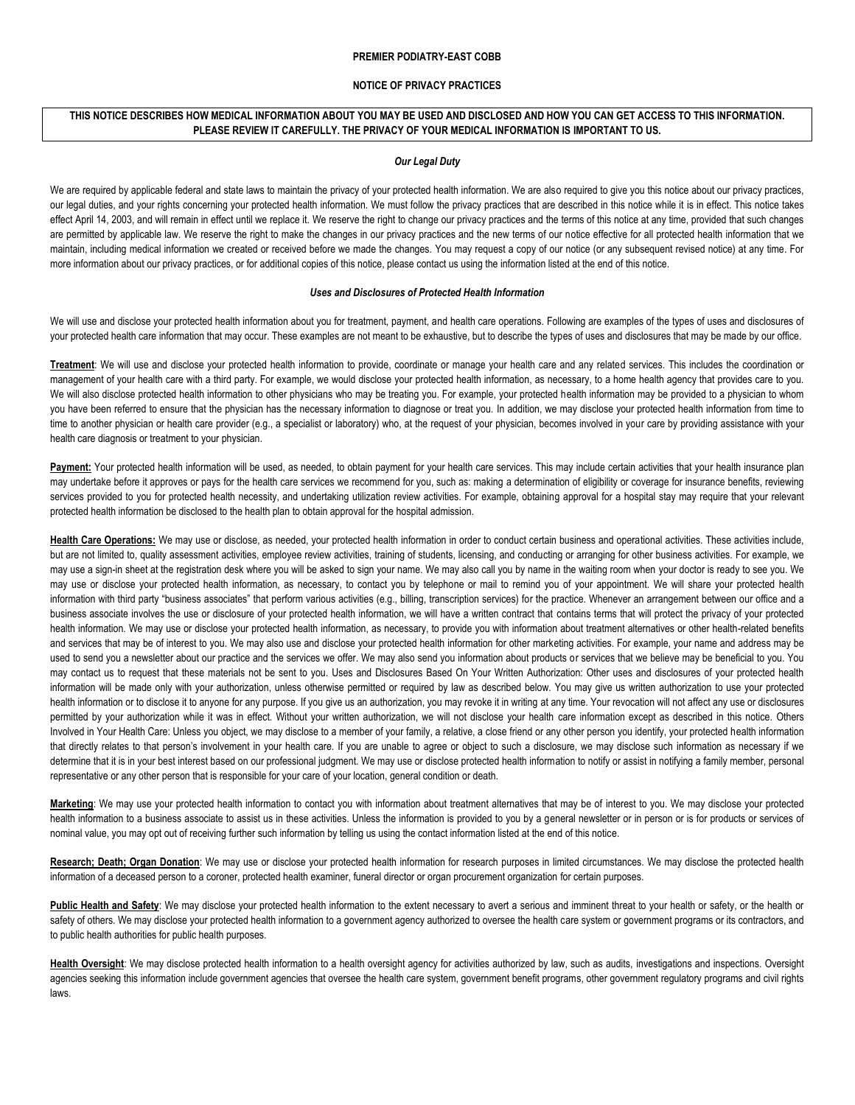### **PREMIER PODIATRY-EAST COBB**

## **NOTICE OF PRIVACY PRACTICES**

# **THIS NOTICE DESCRIBES HOW MEDICAL INFORMATION ABOUT YOU MAY BE USED AND DISCLOSED AND HOW YOU CAN GET ACCESS TO THIS INFORMATION. PLEASE REVIEW IT CAREFULLY. THE PRIVACY OF YOUR MEDICAL INFORMATION IS IMPORTANT TO US.**

#### *Our Legal Duty*

We are required by applicable federal and state laws to maintain the privacy of your protected health information. We are also required to give you this notice about our privacy practices, our legal duties, and your rights concerning your protected health information. We must follow the privacy practices that are described in this notice while it is in effect. This notice takes effect April 14, 2003, and will remain in effect until we replace it. We reserve the right to change our privacy practices and the terms of this notice at any time, provided that such changes are permitted by applicable law. We reserve the right to make the changes in our privacy practices and the new terms of our notice effective for all protected health information that we maintain, including medical information we created or received before we made the changes. You may request a copy of our notice (or any subsequent revised notice) at any time. For more information about our privacy practices, or for additional copies of this notice, please contact us using the information listed at the end of this notice.

#### *Uses and Disclosures of Protected Health Information*

We will use and disclose your protected health information about you for treatment, payment, and health care operations. Following are examples of the types of uses and disclosures of your protected health care information that may occur. These examples are not meant to be exhaustive, but to describe the types of uses and disclosures that may be made by our office.

**Treatment**: We will use and disclose your protected health information to provide, coordinate or manage your health care and any related services. This includes the coordination or management of your health care with a third party. For example, we would disclose your protected health information, as necessary, to a home health agency that provides care to you. We will also disclose protected health information to other physicians who may be treating you. For example, your protected health information may be provided to a physician to whom you have been referred to ensure that the physician has the necessary information to diagnose or treat you. In addition, we may disclose your protected health information from time to time to another physician or health care provider (e.g., a specialist or laboratory) who, at the request of your physician, becomes involved in your care by providing assistance with your health care diagnosis or treatment to your physician.

Payment: Your protected health information will be used, as needed, to obtain payment for your health care services. This may include certain activities that your health insurance plan may undertake before it approves or pays for the health care services we recommend for you, such as: making a determination of eligibility or coverage for insurance benefits, reviewing services provided to you for protected health necessity, and undertaking utilization review activities. For example, obtaining approval for a hospital stay may require that your relevant protected health information be disclosed to the health plan to obtain approval for the hospital admission.

**Health Care Operations:** We may use or disclose, as needed, your protected health information in order to conduct certain business and operational activities. These activities include, but are not limited to, quality assessment activities, employee review activities, training of students, licensing, and conducting or arranging for other business activities. For example, we may use a sign-in sheet at the registration desk where you will be asked to sign your name. We may also call you by name in the waiting room when your doctor is ready to see you. We may use or disclose your protected health information, as necessary, to contact you by telephone or mail to remind you of your appointment. We will share your protected health information with third party "business associates" that perform various activities (e.g., billing, transcription services) for the practice. Whenever an arrangement between our office and a business associate involves the use or disclosure of your protected health information, we will have a written contract that contains terms that will protect the privacy of your protected health information. We may use or disclose your protected health information, as necessary, to provide you with information about treatment alternatives or other health-related benefits and services that may be of interest to you. We may also use and disclose your protected health information for other marketing activities. For example, your name and address may be used to send you a newsletter about our practice and the services we offer. We may also send you information about products or services that we believe may be beneficial to you. You may contact us to request that these materials not be sent to you. Uses and Disclosures Based On Your Written Authorization: Other uses and disclosures of your protected health information will be made only with your authorization, unless otherwise permitted or required by law as described below. You may give us written authorization to use your protected health information or to disclose it to anyone for any purpose. If you give us an authorization, you may revoke it in writing at any time. Your revocation will not affect any use or disclosures permitted by your authorization while it was in effect. Without your written authorization, we will not disclose your health care information except as described in this notice. Others Involved in Your Health Care: Unless you object, we may disclose to a member of your family, a relative, a close friend or any other person you identify, your protected health information that directly relates to that person's involvement in your health care. If you are unable to agree or object to such a disclosure, we may disclose such information as necessary if we determine that it is in your best interest based on our professional judgment. We may use or disclose protected health information to notify or assist in notifying a family member, personal representative or any other person that is responsible for your care of your location, general condition or death.

**Marketing**: We may use your protected health information to contact you with information about treatment alternatives that may be of interest to you. We may disclose your protected health information to a business associate to assist us in these activities. Unless the information is provided to you by a general newsletter or in person or is for products or services of nominal value, you may opt out of receiving further such information by telling us using the contact information listed at the end of this notice.

**Research; Death; Organ Donation**: We may use or disclose your protected health information for research purposes in limited circumstances. We may disclose the protected health information of a deceased person to a coroner, protected health examiner, funeral director or organ procurement organization for certain purposes.

Public Health and Safety: We may disclose your protected health information to the extent necessary to avert a serious and imminent threat to your health or safety, or the health or safety of others. We may disclose your protected health information to a government agency authorized to oversee the health care system or government programs or its contractors, and to public health authorities for public health purposes.

**Health Oversight**: We may disclose protected health information to a health oversight agency for activities authorized by law, such as audits, investigations and inspections. Oversight agencies seeking this information include government agencies that oversee the health care system, government benefit programs, other government regulatory programs and civil rights laws.